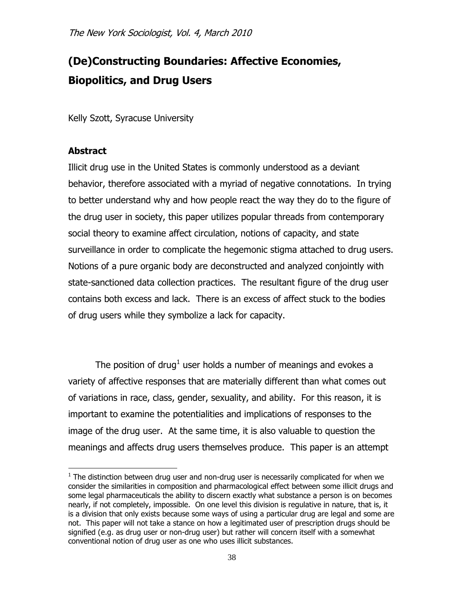# **(De)Constructing Boundaries: Affective Economies, Biopolitics, and Drug Users**

Kelly Szott, Syracuse University

## **Abstract**

 $\overline{\phantom{a}}$ 

Illicit drug use in the United States is commonly understood as a deviant behavior, therefore associated with a myriad of negative connotations. In trying to better understand why and how people react the way they do to the figure of the drug user in society, this paper utilizes popular threads from contemporary social theory to examine affect circulation, notions of capacity, and state surveillance in order to complicate the hegemonic stigma attached to drug users. Notions of a pure organic body are deconstructed and analyzed conjointly with state-sanctioned data collection practices. The resultant figure of the drug user contains both excess and lack. There is an excess of affect stuck to the bodies of drug users while they symbolize a lack for capacity.

The position of drug<sup>1</sup> user holds a number of meanings and evokes a variety of affective responses that are materially different than what comes out of variations in race, class, gender, sexuality, and ability. For this reason, it is important to examine the potentialities and implications of responses to the image of the drug user. At the same time, it is also valuable to question the meanings and affects drug users themselves produce. This paper is an attempt

 $1$  The distinction between drug user and non-drug user is necessarily complicated for when we consider the similarities in composition and pharmacological effect between some illicit drugs and some legal pharmaceuticals the ability to discern exactly what substance a person is on becomes nearly, if not completely, impossible. On one level this division is regulative in nature, that is, it is a division that only exists because some ways of using a particular drug are legal and some are not. This paper will not take a stance on how a legitimated user of prescription drugs should be signified (e.g. as drug user or non-drug user) but rather will concern itself with a somewhat conventional notion of drug user as one who uses illicit substances.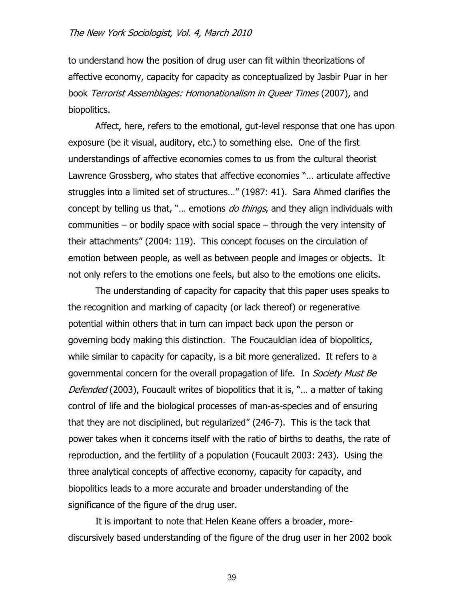to understand how the position of drug user can fit within theorizations of affective economy, capacity for capacity as conceptualized by Jasbir Puar in her book Terrorist Assemblages: Homonationalism in Queer Times (2007), and biopolitics.

Affect, here, refers to the emotional, gut-level response that one has upon exposure (be it visual, auditory, etc.) to something else. One of the first understandings of affective economies comes to us from the cultural theorist Lawrence Grossberg, who states that affective economies "... articulate affective struggles into a limited set of structures..." (1987: 41). Sara Ahmed clarifies the concept by telling us that, "... emotions *do things*, and they align individuals with communities – or bodily space with social space – through the very intensity of their attachments‖ (2004: 119). This concept focuses on the circulation of emotion between people, as well as between people and images or objects. It not only refers to the emotions one feels, but also to the emotions one elicits.

The understanding of capacity for capacity that this paper uses speaks to the recognition and marking of capacity (or lack thereof) or regenerative potential within others that in turn can impact back upon the person or governing body making this distinction. The Foucauldian idea of biopolitics, while similar to capacity for capacity, is a bit more generalized. It refers to a governmental concern for the overall propagation of life. In Society Must Be Defended (2003), Foucault writes of biopolitics that it is, "... a matter of taking control of life and the biological processes of man-as-species and of ensuring that they are not disciplined, but regularized" (246-7). This is the tack that power takes when it concerns itself with the ratio of births to deaths, the rate of reproduction, and the fertility of a population (Foucault 2003: 243). Using the three analytical concepts of affective economy, capacity for capacity, and biopolitics leads to a more accurate and broader understanding of the significance of the figure of the drug user.

It is important to note that Helen Keane offers a broader, morediscursively based understanding of the figure of the drug user in her 2002 book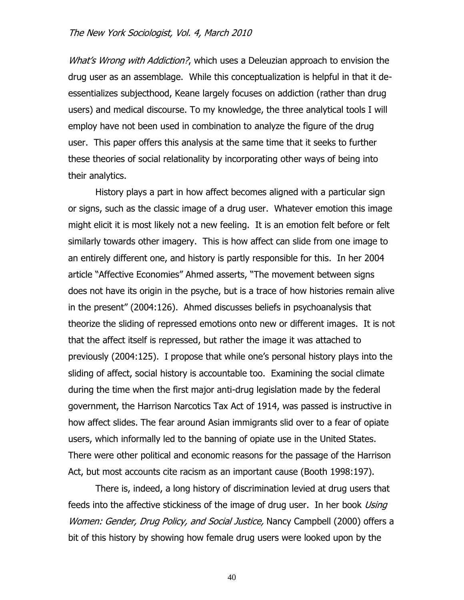What's Wrong with Addiction?, which uses a Deleuzian approach to envision the drug user as an assemblage. While this conceptualization is helpful in that it deessentializes subjecthood, Keane largely focuses on addiction (rather than drug users) and medical discourse. To my knowledge, the three analytical tools I will employ have not been used in combination to analyze the figure of the drug user. This paper offers this analysis at the same time that it seeks to further these theories of social relationality by incorporating other ways of being into their analytics.

History plays a part in how affect becomes aligned with a particular sign or signs, such as the classic image of a drug user. Whatever emotion this image might elicit it is most likely not a new feeling. It is an emotion felt before or felt similarly towards other imagery. This is how affect can slide from one image to an entirely different one, and history is partly responsible for this. In her 2004 article "Affective Economies" Ahmed asserts, "The movement between signs does not have its origin in the psyche, but is a trace of how histories remain alive in the present" (2004:126). Ahmed discusses beliefs in psychoanalysis that theorize the sliding of repressed emotions onto new or different images. It is not that the affect itself is repressed, but rather the image it was attached to previously (2004:125). I propose that while one's personal history plays into the sliding of affect, social history is accountable too. Examining the social climate during the time when the first major anti-drug legislation made by the federal government, the Harrison Narcotics Tax Act of 1914, was passed is instructive in how affect slides. The fear around Asian immigrants slid over to a fear of opiate users, which informally led to the banning of opiate use in the United States. There were other political and economic reasons for the passage of the Harrison Act, but most accounts cite racism as an important cause (Booth 1998:197).

There is, indeed, a long history of discrimination levied at drug users that feeds into the affective stickiness of the image of drug user. In her book Using Women: Gender, Drug Policy, and Social Justice, Nancy Campbell (2000) offers a bit of this history by showing how female drug users were looked upon by the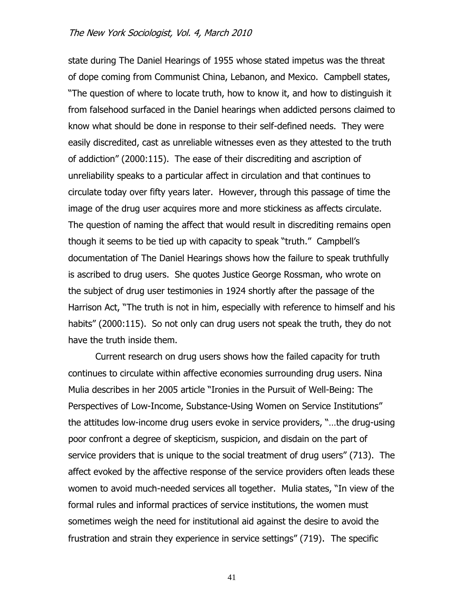state during The Daniel Hearings of 1955 whose stated impetus was the threat of dope coming from Communist China, Lebanon, and Mexico. Campbell states, ―The question of where to locate truth, how to know it, and how to distinguish it from falsehood surfaced in the Daniel hearings when addicted persons claimed to know what should be done in response to their self-defined needs. They were easily discredited, cast as unreliable witnesses even as they attested to the truth of addiction‖ (2000:115). The ease of their discrediting and ascription of unreliability speaks to a particular affect in circulation and that continues to circulate today over fifty years later. However, through this passage of time the image of the drug user acquires more and more stickiness as affects circulate. The question of naming the affect that would result in discrediting remains open though it seems to be tied up with capacity to speak "truth." Campbell's documentation of The Daniel Hearings shows how the failure to speak truthfully is ascribed to drug users. She quotes Justice George Rossman, who wrote on the subject of drug user testimonies in 1924 shortly after the passage of the Harrison Act, "The truth is not in him, especially with reference to himself and his habits" (2000:115). So not only can drug users not speak the truth, they do not have the truth inside them.

Current research on drug users shows how the failed capacity for truth continues to circulate within affective economies surrounding drug users. Nina Mulia describes in her 2005 article "Ironies in the Pursuit of Well-Being: The Perspectives of Low-Income, Substance-Using Women on Service Institutions" the attitudes low-income drug users evoke in service providers, "...the drug-using poor confront a degree of skepticism, suspicion, and disdain on the part of service providers that is unique to the social treatment of drug users" (713). The affect evoked by the affective response of the service providers often leads these women to avoid much-needed services all together. Mulia states, "In view of the formal rules and informal practices of service institutions, the women must sometimes weigh the need for institutional aid against the desire to avoid the frustration and strain they experience in service settings" (719). The specific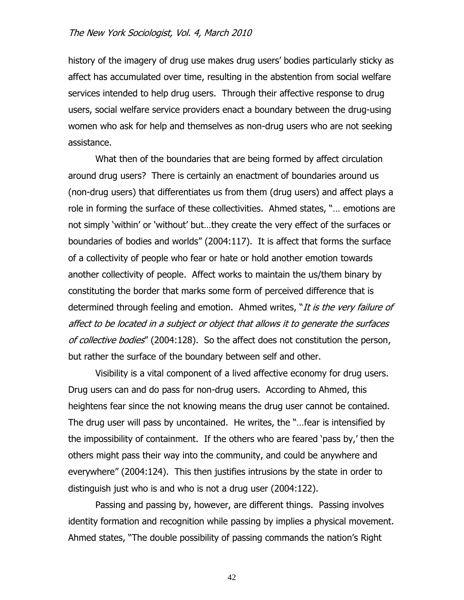history of the imagery of drug use makes drug users' bodies particularly sticky as affect has accumulated over time, resulting in the abstention from social welfare services intended to help drug users. Through their affective response to drug users, social welfare service providers enact a boundary between the drug-using women who ask for help and themselves as non-drug users who are not seeking assistance.

What then of the boundaries that are being formed by affect circulation around drug users? There is certainly an enactment of boundaries around us (non-drug users) that differentiates us from them (drug users) and affect plays a role in forming the surface of these collectivities. Ahmed states, "... emotions are not simply 'within' or 'without' but...they create the very effect of the surfaces or boundaries of bodies and worlds" (2004:117). It is affect that forms the surface of a collectivity of people who fear or hate or hold another emotion towards another collectivity of people. Affect works to maintain the us/them binary by constituting the border that marks some form of perceived difference that is determined through feeling and emotion. Ahmed writes, "It is the very failure of affect to be located in a subject or object that allows it to generate the surfaces of collective bodies" (2004:128). So the affect does not constitution the person, but rather the surface of the boundary between self and other.

Visibility is a vital component of a lived affective economy for drug users. Drug users can and do pass for non-drug users. According to Ahmed, this heightens fear since the not knowing means the drug user cannot be contained. The drug user will pass by uncontained. He writes, the "... fear is intensified by the impossibility of containment. If the others who are feared 'pass by,' then the others might pass their way into the community, and could be anywhere and everywhere" (2004:124). This then justifies intrusions by the state in order to distinguish just who is and who is not a drug user (2004:122).

Passing and passing by, however, are different things. Passing involves identity formation and recognition while passing by implies a physical movement. Ahmed states, "The double possibility of passing commands the nation's Right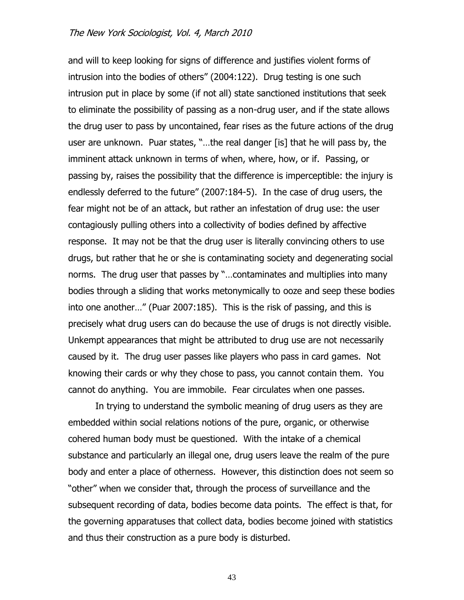and will to keep looking for signs of difference and justifies violent forms of intrusion into the bodies of others" (2004:122). Drug testing is one such intrusion put in place by some (if not all) state sanctioned institutions that seek to eliminate the possibility of passing as a non-drug user, and if the state allows the drug user to pass by uncontained, fear rises as the future actions of the drug user are unknown. Puar states, "...the real danger [is] that he will pass by, the imminent attack unknown in terms of when, where, how, or if. Passing, or passing by, raises the possibility that the difference is imperceptible: the injury is endlessly deferred to the future" (2007:184-5). In the case of drug users, the fear might not be of an attack, but rather an infestation of drug use: the user contagiously pulling others into a collectivity of bodies defined by affective response. It may not be that the drug user is literally convincing others to use drugs, but rather that he or she is contaminating society and degenerating social norms. The drug user that passes by "...contaminates and multiplies into many bodies through a sliding that works metonymically to ooze and seep these bodies into one another…‖ (Puar 2007:185). This is the risk of passing, and this is precisely what drug users can do because the use of drugs is not directly visible. Unkempt appearances that might be attributed to drug use are not necessarily caused by it. The drug user passes like players who pass in card games. Not knowing their cards or why they chose to pass, you cannot contain them. You cannot do anything. You are immobile. Fear circulates when one passes.

In trying to understand the symbolic meaning of drug users as they are embedded within social relations notions of the pure, organic, or otherwise cohered human body must be questioned. With the intake of a chemical substance and particularly an illegal one, drug users leave the realm of the pure body and enter a place of otherness. However, this distinction does not seem so "other" when we consider that, through the process of surveillance and the subsequent recording of data, bodies become data points. The effect is that, for the governing apparatuses that collect data, bodies become joined with statistics and thus their construction as a pure body is disturbed.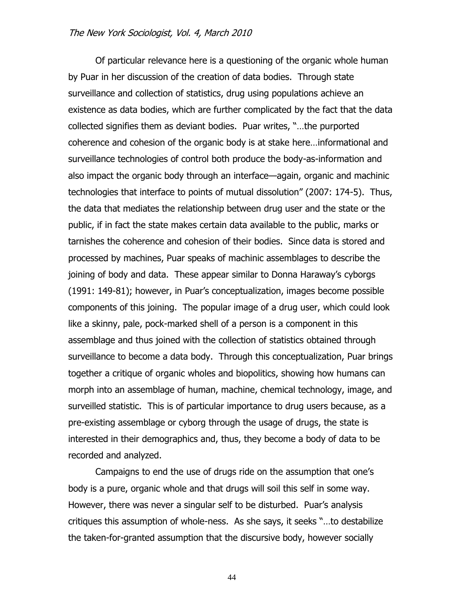Of particular relevance here is a questioning of the organic whole human by Puar in her discussion of the creation of data bodies. Through state surveillance and collection of statistics, drug using populations achieve an existence as data bodies, which are further complicated by the fact that the data collected signifies them as deviant bodies. Puar writes, "...the purported coherence and cohesion of the organic body is at stake here…informational and surveillance technologies of control both produce the body-as-information and also impact the organic body through an interface—again, organic and machinic technologies that interface to points of mutual dissolution‖ (2007: 174-5). Thus, the data that mediates the relationship between drug user and the state or the public, if in fact the state makes certain data available to the public, marks or tarnishes the coherence and cohesion of their bodies. Since data is stored and processed by machines, Puar speaks of machinic assemblages to describe the joining of body and data. These appear similar to Donna Haraway's cyborgs (1991: 149-81); however, in Puar's conceptualization, images become possible components of this joining. The popular image of a drug user, which could look like a skinny, pale, pock-marked shell of a person is a component in this assemblage and thus joined with the collection of statistics obtained through surveillance to become a data body. Through this conceptualization, Puar brings together a critique of organic wholes and biopolitics, showing how humans can morph into an assemblage of human, machine, chemical technology, image, and surveilled statistic. This is of particular importance to drug users because, as a pre-existing assemblage or cyborg through the usage of drugs, the state is interested in their demographics and, thus, they become a body of data to be recorded and analyzed.

Campaigns to end the use of drugs ride on the assumption that one's body is a pure, organic whole and that drugs will soil this self in some way. However, there was never a singular self to be disturbed. Puar's analysis critiques this assumption of whole-ness. As she says, it seeks "...to destabilize the taken-for-granted assumption that the discursive body, however socially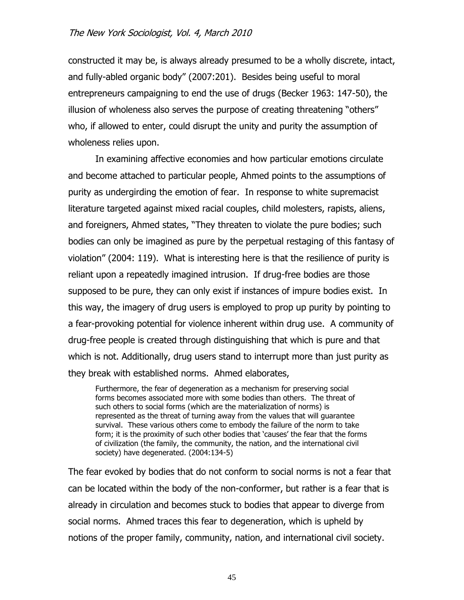constructed it may be, is always already presumed to be a wholly discrete, intact, and fully-abled organic body" (2007:201). Besides being useful to moral entrepreneurs campaigning to end the use of drugs (Becker 1963: 147-50), the illusion of wholeness also serves the purpose of creating threatening "others" who, if allowed to enter, could disrupt the unity and purity the assumption of wholeness relies upon.

In examining affective economies and how particular emotions circulate and become attached to particular people, Ahmed points to the assumptions of purity as undergirding the emotion of fear. In response to white supremacist literature targeted against mixed racial couples, child molesters, rapists, aliens, and foreigners, Ahmed states, "They threaten to violate the pure bodies; such bodies can only be imagined as pure by the perpetual restaging of this fantasy of violation" (2004: 119). What is interesting here is that the resilience of purity is reliant upon a repeatedly imagined intrusion. If drug-free bodies are those supposed to be pure, they can only exist if instances of impure bodies exist. In this way, the imagery of drug users is employed to prop up purity by pointing to a fear-provoking potential for violence inherent within drug use. A community of drug-free people is created through distinguishing that which is pure and that which is not. Additionally, drug users stand to interrupt more than just purity as they break with established norms. Ahmed elaborates,

Furthermore, the fear of degeneration as a mechanism for preserving social forms becomes associated more with some bodies than others. The threat of such others to social forms (which are the materialization of norms) is represented as the threat of turning away from the values that will guarantee survival. These various others come to embody the failure of the norm to take form; it is the proximity of such other bodies that 'causes' the fear that the forms of civilization (the family, the community, the nation, and the international civil society) have degenerated. (2004:134-5)

The fear evoked by bodies that do not conform to social norms is not a fear that can be located within the body of the non-conformer, but rather is a fear that is already in circulation and becomes stuck to bodies that appear to diverge from social norms. Ahmed traces this fear to degeneration, which is upheld by notions of the proper family, community, nation, and international civil society.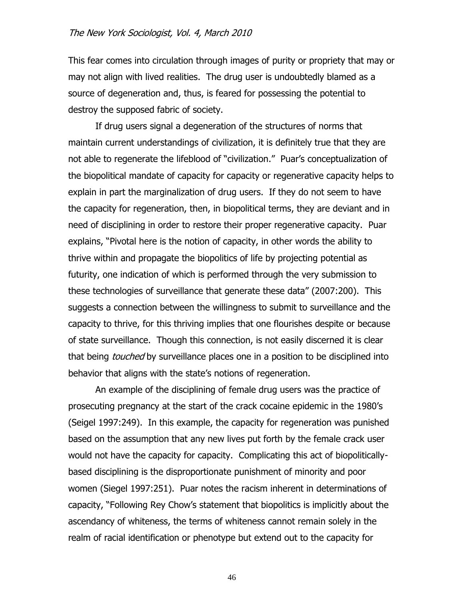This fear comes into circulation through images of purity or propriety that may or may not align with lived realities. The drug user is undoubtedly blamed as a source of degeneration and, thus, is feared for possessing the potential to destroy the supposed fabric of society.

If drug users signal a degeneration of the structures of norms that maintain current understandings of civilization, it is definitely true that they are not able to regenerate the lifeblood of "civilization." Puar's conceptualization of the biopolitical mandate of capacity for capacity or regenerative capacity helps to explain in part the marginalization of drug users. If they do not seem to have the capacity for regeneration, then, in biopolitical terms, they are deviant and in need of disciplining in order to restore their proper regenerative capacity. Puar explains, "Pivotal here is the notion of capacity, in other words the ability to thrive within and propagate the biopolitics of life by projecting potential as futurity, one indication of which is performed through the very submission to these technologies of surveillance that generate these data‖ (2007:200). This suggests a connection between the willingness to submit to surveillance and the capacity to thrive, for this thriving implies that one flourishes despite or because of state surveillance. Though this connection, is not easily discerned it is clear that being *touched* by surveillance places one in a position to be disciplined into behavior that aligns with the state's notions of regeneration.

An example of the disciplining of female drug users was the practice of prosecuting pregnancy at the start of the crack cocaine epidemic in the 1980's (Seigel 1997:249). In this example, the capacity for regeneration was punished based on the assumption that any new lives put forth by the female crack user would not have the capacity for capacity. Complicating this act of biopoliticallybased disciplining is the disproportionate punishment of minority and poor women (Siegel 1997:251). Puar notes the racism inherent in determinations of capacity, ―Following Rey Chow's statement that biopolitics is implicitly about the ascendancy of whiteness, the terms of whiteness cannot remain solely in the realm of racial identification or phenotype but extend out to the capacity for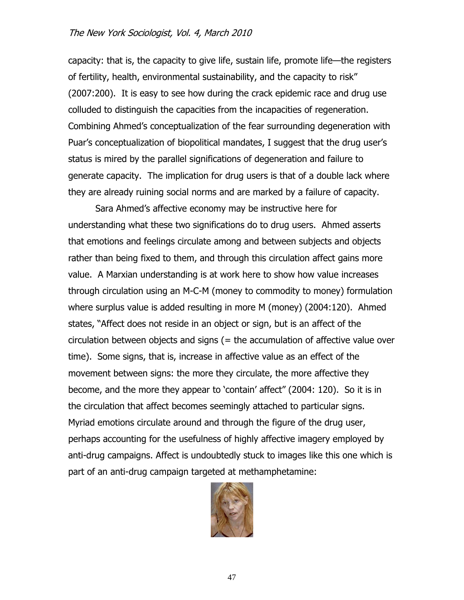capacity: that is, the capacity to give life, sustain life, promote life—the registers of fertility, health, environmental sustainability, and the capacity to risk" (2007:200). It is easy to see how during the crack epidemic race and drug use colluded to distinguish the capacities from the incapacities of regeneration. Combining Ahmed's conceptualization of the fear surrounding degeneration with Puar's conceptualization of biopolitical mandates, I suggest that the drug user's status is mired by the parallel significations of degeneration and failure to generate capacity. The implication for drug users is that of a double lack where they are already ruining social norms and are marked by a failure of capacity.

Sara Ahmed's affective economy may be instructive here for understanding what these two significations do to drug users. Ahmed asserts that emotions and feelings circulate among and between subjects and objects rather than being fixed to them, and through this circulation affect gains more value. A Marxian understanding is at work here to show how value increases through circulation using an M-C-M (money to commodity to money) formulation where surplus value is added resulting in more M (money) (2004:120). Ahmed states, "Affect does not reside in an object or sign, but is an affect of the circulation between objects and signs (= the accumulation of affective value over time). Some signs, that is, increase in affective value as an effect of the movement between signs: the more they circulate, the more affective they become, and the more they appear to 'contain' affect" (2004: 120). So it is in the circulation that affect becomes seemingly attached to particular signs. Myriad emotions circulate around and through the figure of the drug user, perhaps accounting for the usefulness of highly affective imagery employed by anti-drug campaigns. Affect is undoubtedly stuck to images like this one which is part of an anti-drug campaign targeted at methamphetamine:

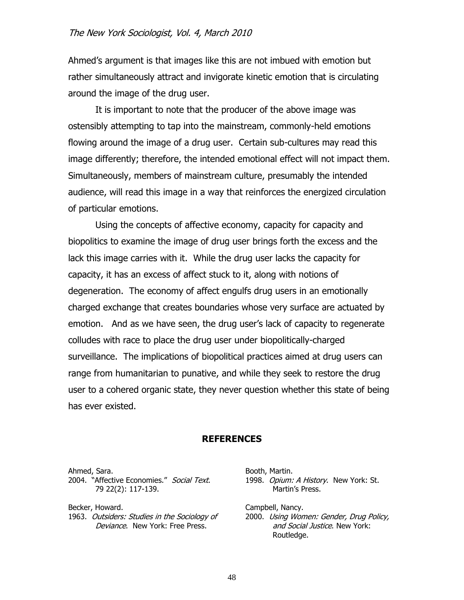Ahmed's argument is that images like this are not imbued with emotion but rather simultaneously attract and invigorate kinetic emotion that is circulating around the image of the drug user.

It is important to note that the producer of the above image was ostensibly attempting to tap into the mainstream, commonly-held emotions flowing around the image of a drug user. Certain sub-cultures may read this image differently; therefore, the intended emotional effect will not impact them. Simultaneously, members of mainstream culture, presumably the intended audience, will read this image in a way that reinforces the energized circulation of particular emotions.

Using the concepts of affective economy, capacity for capacity and biopolitics to examine the image of drug user brings forth the excess and the lack this image carries with it. While the drug user lacks the capacity for capacity, it has an excess of affect stuck to it, along with notions of degeneration. The economy of affect engulfs drug users in an emotionally charged exchange that creates boundaries whose very surface are actuated by emotion. And as we have seen, the drug user's lack of capacity to regenerate colludes with race to place the drug user under biopolitically-charged surveillance. The implications of biopolitical practices aimed at drug users can range from humanitarian to punative, and while they seek to restore the drug user to a cohered organic state, they never question whether this state of being has ever existed.

#### **REFERENCES**

Ahmed, Sara. 2004. "Affective Economies." Social Text. 79 22(2): 117-139.

Becker, Howard. 1963. Outsiders: Studies in the Sociology of Deviance. New York: Free Press.

Booth, Martin. 1998. Opium: A History. New York: St. Martin's Press.

Campbell, Nancy. 2000. Using Women: Gender, Drug Policy, and Social Justice. New York: Routledge.